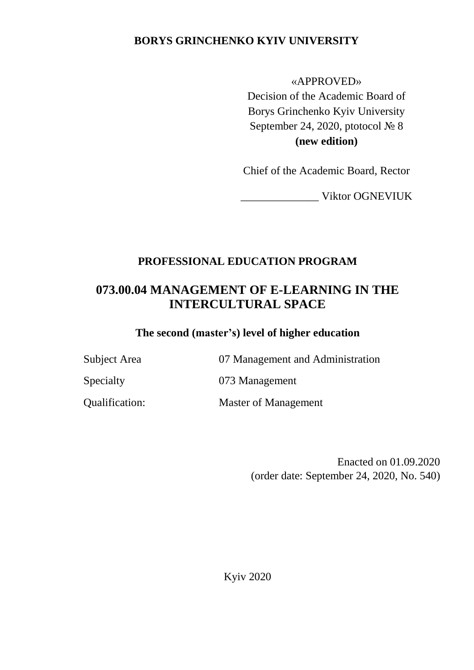## **BORYS GRINCHENKO KYIV UNIVERSITY**

#### «APPROVED»

Decision of the Academic Board of Borys Grinchenko Kyiv University September 24, 2020, ptotocol № 8 **(new edition)**

Chief of the Academic Board, Rector

\_\_\_\_\_\_\_\_\_\_\_\_\_\_ Viktor OGNEVIUK

## **PROFESSIONAL EDUCATION PROGRAM**

# **073.00.04 MANAGEMENT OF E-LEARNING IN THE INTERCULTURAL SPACE**

### **The second (master's) level of higher education**

Subject Area 07 Management and Administration

Specialty 073 Management

Qualification: Master of Management

Enacted on 01.09.2020 (order date: September 24, 2020, No. 540)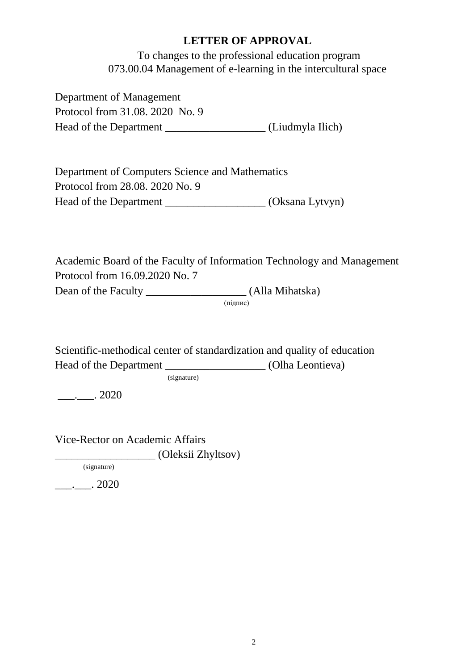### **LETTER OF APPROVAL**

To changes to the professional education program 073.00.04 Management of e-learning in the intercultural space

Department of Management Protocol from 31.08. 2020 No. 9 Head of the Department \_\_\_\_\_\_\_\_\_\_\_\_\_\_\_\_\_\_\_\_\_\_(Liudmyla Ilich)

Department of Computers Science and Mathematics Protocol from 28.08. 2020 No. 9 Head of the Department \_\_\_\_\_\_\_\_\_\_\_\_\_\_\_\_\_\_\_\_\_ (Oksana Lytvyn)

Academic Board of the Faculty of Information Technology and Management Protocol from 16.09.2020 No. 7 Dean of the Faculty \_\_\_\_\_\_\_\_\_\_\_\_\_\_\_\_\_\_ (Alla Mihatska)

(підпис)

Scientific-methodical center of standardization and quality of education Head of the Department (Olha Leontieva)

(signature)

 $\frac{1}{2}$ . 2020

Vice-Rector on Academic Affairs \_\_\_\_\_\_\_\_\_\_\_\_\_\_\_\_\_\_ (Oleksii Zhyltsov)

(signature)

 $\frac{1}{2}$ . 2020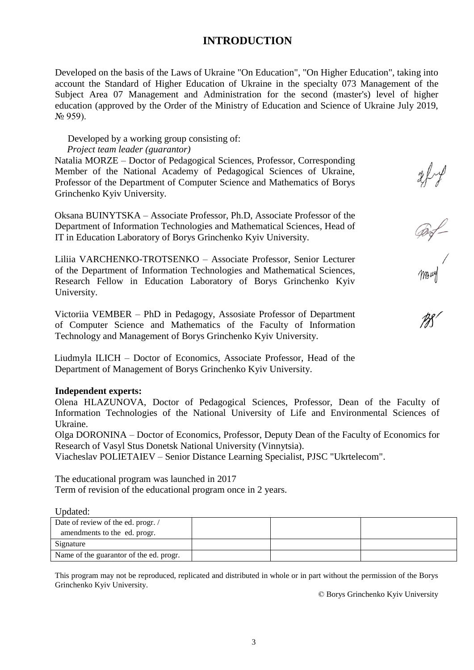### **INTRODUCTION**

Developed on the basis of the Laws of Ukraine "On Education", "On Higher Education", taking into account the Standard of Higher Education of Ukraine in the specialty 073 Management of the Subject Area 07 Management and Administration for the second (master's) level of higher education (approved by the Order of the Ministry of Education and Science of Ukraine July 2019,  $N_2$  959).

#### Developed by a working group consisting of:

#### *Project team leader (guarantor)*

Natalia MORZE – Doctor of Pedagogical Sciences, Professor, Corresponding Member of the National Academy of Pedagogical Sciences of Ukraine, Professor of the Department of Computer Science and Mathematics of Borys Grinchenko Kyiv University.

Oksana BUINYTSKA – Associate Professor, Ph.D, Associate Professor of the Department of Information Technologies and Mathematical Sciences, Head of IT in Education Laboratory of Borys Grinchenko Kyiv University.

Liliia VARCHENKO-TROTSENKO – Associate Professor, Senior Lecturer of the Department of Information Technologies and Mathematical Sciences, Research Fellow in Education Laboratory of Borys Grinchenko Kyiv University.

Victoriia VEMBER – PhD in Pedagogy, Assosiate Professor of Department of Computer Science and Mathematics of the Faculty of Information Technology and Management of Borys Grinchenko Kyiv University.

Liudmyla ILICH – Doctor of Economics, Associate Professor, Head of the Department of Management of Borys Grinchenko Kyiv University.

#### **Independent experts:**

Olena HLAZUNOVA, Doctor of Pedagogical Sciences, Professor, Dean of the Faculty of Information Technologies of the National University of Life and Environmental Sciences of Ukraine.

Olga DORONINA – Doctor of Economics, Professor, Deputy Dean of the Faculty of Economics for Research of Vasyl Stus Donetsk National University (Vinnytsia).

Viacheslav POLIETAIEV – Senior Distance Learning Specialist, PJSC "Ukrtelecom".

The educational program was launched in 2017 Term of revision of the educational program once in 2 years.

Updated:

| Date of review of the ed. progr. /      |  |  |
|-----------------------------------------|--|--|
| amendments to the ed. progr.            |  |  |
| Signature                               |  |  |
| Name of the guarantor of the ed. progr. |  |  |

This program may not be reproduced, replicated and distributed in whole or in part without the permission of the Borys Grinchenko Kyiv University.

© Borys Grinchenko Kyiv University

reft of<br>Conf<br>Mouth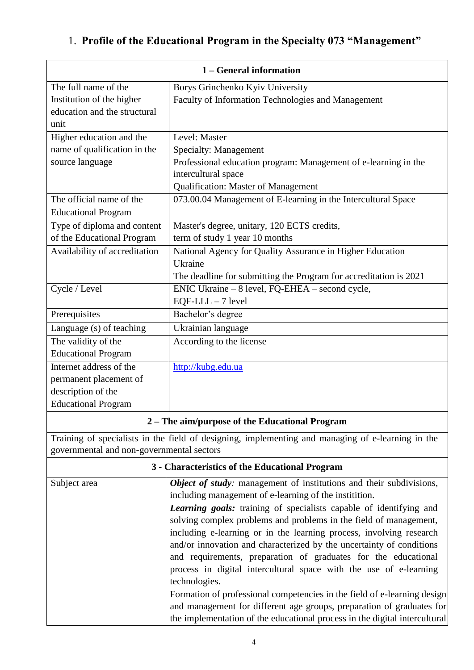# 1. **Profile of the Educational Program in the Specialty 073 "Management"**

| 1 – General information                   |                                                                                                                                                     |  |  |
|-------------------------------------------|-----------------------------------------------------------------------------------------------------------------------------------------------------|--|--|
| The full name of the                      | Borys Grinchenko Kyiv University                                                                                                                    |  |  |
| Institution of the higher                 | Faculty of Information Technologies and Management                                                                                                  |  |  |
| education and the structural              |                                                                                                                                                     |  |  |
| unit                                      |                                                                                                                                                     |  |  |
| Higher education and the                  | Level: Master                                                                                                                                       |  |  |
| name of qualification in the              | Specialty: Management                                                                                                                               |  |  |
| source language                           | Professional education program: Management of e-learning in the                                                                                     |  |  |
|                                           | intercultural space                                                                                                                                 |  |  |
|                                           | <b>Qualification: Master of Management</b>                                                                                                          |  |  |
| The official name of the                  | 073.00.04 Management of E-learning in the Intercultural Space                                                                                       |  |  |
| <b>Educational Program</b>                |                                                                                                                                                     |  |  |
| Type of diploma and content               | Master's degree, unitary, 120 ECTS credits,                                                                                                         |  |  |
| of the Educational Program                | term of study 1 year 10 months                                                                                                                      |  |  |
| Availability of accreditation             | National Agency for Quality Assurance in Higher Education                                                                                           |  |  |
|                                           | Ukraine                                                                                                                                             |  |  |
|                                           | The deadline for submitting the Program for accreditation is 2021                                                                                   |  |  |
| Cycle / Level                             | ENIC Ukraine – 8 level, FQ-EHEA – second cycle,                                                                                                     |  |  |
|                                           | $EQF-LLL - 7$ level                                                                                                                                 |  |  |
| Prerequisites                             | Bachelor's degree                                                                                                                                   |  |  |
| Language (s) of teaching                  | Ukrainian language                                                                                                                                  |  |  |
| The validity of the                       | According to the license                                                                                                                            |  |  |
| <b>Educational Program</b>                |                                                                                                                                                     |  |  |
| Internet address of the                   | http://kubg.edu.ua                                                                                                                                  |  |  |
| permanent placement of                    |                                                                                                                                                     |  |  |
| description of the                        |                                                                                                                                                     |  |  |
| <b>Educational Program</b>                |                                                                                                                                                     |  |  |
|                                           | 2 – The aim/purpose of the Educational Program                                                                                                      |  |  |
| governmental and non-governmental sectors | Training of specialists in the field of designing, implementing and managing of e-learning in the                                                   |  |  |
|                                           | 3 - Characteristics of the Educational Program                                                                                                      |  |  |
| Subject area                              | Object of study: management of institutions and their subdivisions,                                                                                 |  |  |
|                                           | including management of e-learning of the institition.                                                                                              |  |  |
|                                           | <b>Learning goals:</b> training of specialists capable of identifying and                                                                           |  |  |
|                                           | solving complex problems and problems in the field of management,                                                                                   |  |  |
|                                           | including e-learning or in the learning process, involving research                                                                                 |  |  |
|                                           | and/or innovation and characterized by the uncertainty of conditions                                                                                |  |  |
|                                           | and requirements, preparation of graduates for the educational                                                                                      |  |  |
|                                           | process in digital intercultural space with the use of e-learning                                                                                   |  |  |
|                                           | technologies.                                                                                                                                       |  |  |
|                                           | Formation of professional competencies in the field of e-learning design                                                                            |  |  |
|                                           | and management for different age groups, preparation of graduates for<br>the implementation of the educational process in the digital intercultural |  |  |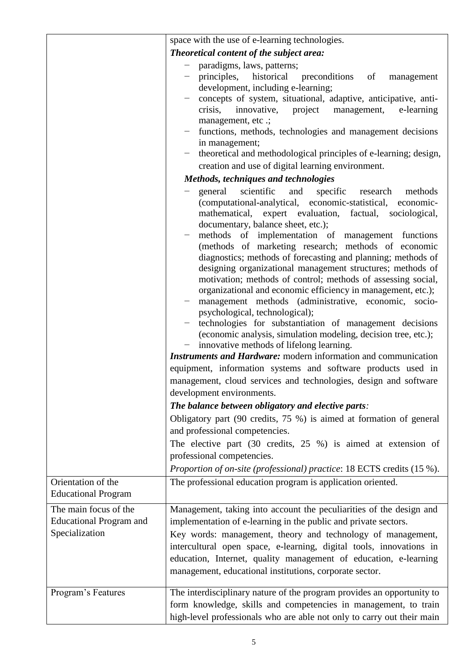|                                                                           | space with the use of e-learning technologies.                                                                                                                                                                                                                                                                                                                                                                                                                                                                                                                                                                                                                                                                                                                                                                                                                                                                                                                                                                                                                                           |  |  |  |
|---------------------------------------------------------------------------|------------------------------------------------------------------------------------------------------------------------------------------------------------------------------------------------------------------------------------------------------------------------------------------------------------------------------------------------------------------------------------------------------------------------------------------------------------------------------------------------------------------------------------------------------------------------------------------------------------------------------------------------------------------------------------------------------------------------------------------------------------------------------------------------------------------------------------------------------------------------------------------------------------------------------------------------------------------------------------------------------------------------------------------------------------------------------------------|--|--|--|
|                                                                           | Theoretical content of the subject area:                                                                                                                                                                                                                                                                                                                                                                                                                                                                                                                                                                                                                                                                                                                                                                                                                                                                                                                                                                                                                                                 |  |  |  |
|                                                                           | paradigms, laws, patterns;<br>principles, historical<br>of<br>preconditions<br>management<br>development, including e-learning;<br>concepts of system, situational, adaptive, anticipative, anti-<br>crisis,<br>project<br>innovative,<br>management,<br>e-learning<br>management, etc .;<br>functions, methods, technologies and management decisions<br>in management;<br>theoretical and methodological principles of e-learning; design,<br>creation and use of digital learning environment.                                                                                                                                                                                                                                                                                                                                                                                                                                                                                                                                                                                        |  |  |  |
|                                                                           | Methods, techniques and technologies                                                                                                                                                                                                                                                                                                                                                                                                                                                                                                                                                                                                                                                                                                                                                                                                                                                                                                                                                                                                                                                     |  |  |  |
|                                                                           | scientific and<br>specific<br>general<br>methods<br>research<br>(computational-analytical, economic-statistical,<br>economic-<br>mathematical, expert evaluation, factual, sociological,<br>documentary, balance sheet, etc.);<br>methods of implementation of management functions<br>(methods of marketing research; methods of economic<br>diagnostics; methods of forecasting and planning; methods of<br>designing organizational management structures; methods of<br>motivation; methods of control; methods of assessing social,<br>organizational and economic efficiency in management, etc.);<br>management methods (administrative, economic, socio-<br>psychological, technological);<br>technologies for substantiation of management decisions<br>(economic analysis, simulation modeling, decision tree, etc.);<br>innovative methods of lifelong learning.<br><b>Instruments and Hardware:</b> modern information and communication<br>equipment, information systems and software products used in<br>management, cloud services and technologies, design and software |  |  |  |
|                                                                           | development environments.                                                                                                                                                                                                                                                                                                                                                                                                                                                                                                                                                                                                                                                                                                                                                                                                                                                                                                                                                                                                                                                                |  |  |  |
|                                                                           | The balance between obligatory and elective parts:<br>Obligatory part $(90 \text{ credits}, 75 \%)$ is aimed at formation of general<br>and professional competencies.                                                                                                                                                                                                                                                                                                                                                                                                                                                                                                                                                                                                                                                                                                                                                                                                                                                                                                                   |  |  |  |
|                                                                           | The elective part (30 credits, 25 %) is aimed at extension of<br>professional competencies.<br>Proportion of on-site (professional) practice: 18 ECTS credits (15 %).                                                                                                                                                                                                                                                                                                                                                                                                                                                                                                                                                                                                                                                                                                                                                                                                                                                                                                                    |  |  |  |
| Orientation of the                                                        | The professional education program is application oriented.                                                                                                                                                                                                                                                                                                                                                                                                                                                                                                                                                                                                                                                                                                                                                                                                                                                                                                                                                                                                                              |  |  |  |
| <b>Educational Program</b>                                                |                                                                                                                                                                                                                                                                                                                                                                                                                                                                                                                                                                                                                                                                                                                                                                                                                                                                                                                                                                                                                                                                                          |  |  |  |
| The main focus of the<br><b>Educational Program and</b><br>Specialization | Management, taking into account the peculiarities of the design and<br>implementation of e-learning in the public and private sectors.<br>Key words: management, theory and technology of management,<br>intercultural open space, e-learning, digital tools, innovations in<br>education, Internet, quality management of education, e-learning<br>management, educational institutions, corporate sector.                                                                                                                                                                                                                                                                                                                                                                                                                                                                                                                                                                                                                                                                              |  |  |  |
| Program's Features                                                        | The interdisciplinary nature of the program provides an opportunity to<br>form knowledge, skills and competencies in management, to train<br>high-level professionals who are able not only to carry out their main                                                                                                                                                                                                                                                                                                                                                                                                                                                                                                                                                                                                                                                                                                                                                                                                                                                                      |  |  |  |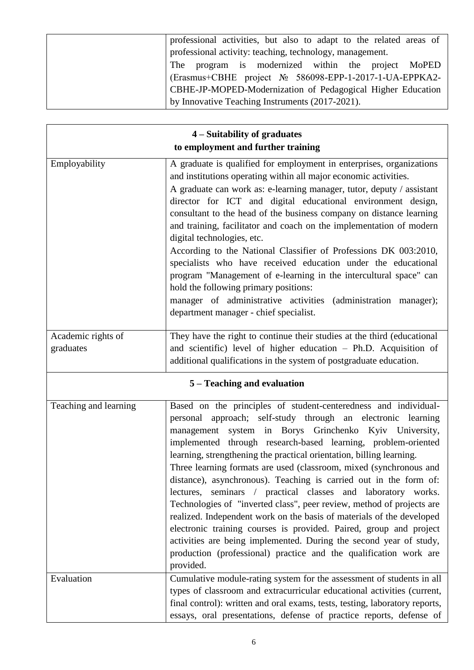| professional activities, but also to adapt to the related areas of |
|--------------------------------------------------------------------|
| professional activity: teaching, technology, management.           |
| The program is modernized within the project MoPED                 |
| (Erasmus+CBHE project № 586098-EPP-1-2017-1-UA-EPPKA2-             |
| CBHE-JP-MOPED-Modernization of Pedagogical Higher Education        |
| by Innovative Teaching Instruments (2017-2021).                    |

| 4 – Suitability of graduates       |                                                                                                                                                                                                                                                                                                                                                                                                                                                                                                                                                                                                                                                                                                                                                                                                                                                                                                                               |  |  |
|------------------------------------|-------------------------------------------------------------------------------------------------------------------------------------------------------------------------------------------------------------------------------------------------------------------------------------------------------------------------------------------------------------------------------------------------------------------------------------------------------------------------------------------------------------------------------------------------------------------------------------------------------------------------------------------------------------------------------------------------------------------------------------------------------------------------------------------------------------------------------------------------------------------------------------------------------------------------------|--|--|
| to employment and further training |                                                                                                                                                                                                                                                                                                                                                                                                                                                                                                                                                                                                                                                                                                                                                                                                                                                                                                                               |  |  |
| Employability                      | A graduate is qualified for employment in enterprises, organizations<br>and institutions operating within all major economic activities.<br>A graduate can work as: e-learning manager, tutor, deputy / assistant<br>director for ICT and digital educational environment design,<br>consultant to the head of the business company on distance learning<br>and training, facilitator and coach on the implementation of modern<br>digital technologies, etc.<br>According to the National Classifier of Professions DK 003:2010,<br>specialists who have received education under the educational<br>program "Management of e-learning in the intercultural space" can<br>hold the following primary positions:<br>manager of administrative activities (administration manager);<br>department manager - chief specialist.                                                                                                  |  |  |
| Academic rights of<br>graduates    | They have the right to continue their studies at the third (educational<br>and scientific) level of higher education - Ph.D. Acquisition of<br>additional qualifications in the system of postgraduate education.                                                                                                                                                                                                                                                                                                                                                                                                                                                                                                                                                                                                                                                                                                             |  |  |
|                                    | 5 – Teaching and evaluation                                                                                                                                                                                                                                                                                                                                                                                                                                                                                                                                                                                                                                                                                                                                                                                                                                                                                                   |  |  |
| Teaching and learning              | Based on the principles of student-centeredness and individual-<br>personal approach; self-study through an electronic learning<br>management system in Borys Grinchenko Kyiv University,<br>implemented through research-based learning, problem-oriented<br>learning, strengthening the practical orientation, billing learning.<br>Three learning formats are used (classroom, mixed (synchronous and<br>distance), asynchronous). Teaching is carried out in the form of:<br>lectures, seminars / practical classes and laboratory works.<br>Technologies of "inverted class", peer review, method of projects are<br>realized. Independent work on the basis of materials of the developed<br>electronic training courses is provided. Paired, group and project<br>activities are being implemented. During the second year of study,<br>production (professional) practice and the qualification work are<br>provided. |  |  |
| Evaluation                         | Cumulative module-rating system for the assessment of students in all<br>types of classroom and extracurricular educational activities (current,<br>final control): written and oral exams, tests, testing, laboratory reports,<br>essays, oral presentations, defense of practice reports, defense of                                                                                                                                                                                                                                                                                                                                                                                                                                                                                                                                                                                                                        |  |  |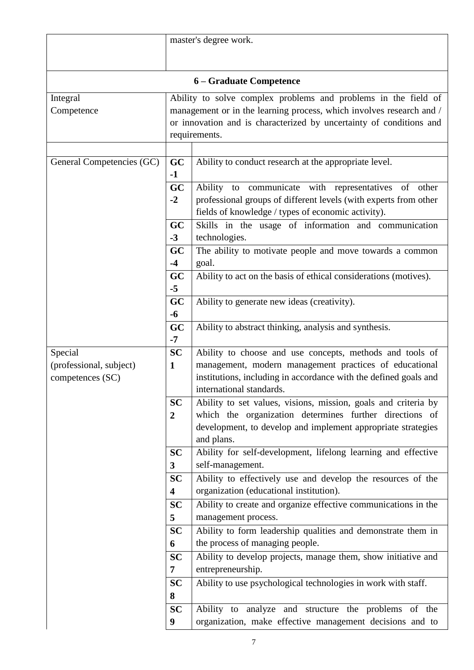|                                                        | master's degree work.                                                                                            |                                                                                                                                                                                                                                |  |  |  |
|--------------------------------------------------------|------------------------------------------------------------------------------------------------------------------|--------------------------------------------------------------------------------------------------------------------------------------------------------------------------------------------------------------------------------|--|--|--|
|                                                        |                                                                                                                  |                                                                                                                                                                                                                                |  |  |  |
|                                                        |                                                                                                                  |                                                                                                                                                                                                                                |  |  |  |
|                                                        |                                                                                                                  | 6 – Graduate Competence                                                                                                                                                                                                        |  |  |  |
| Integral<br>Competence                                 |                                                                                                                  | Ability to solve complex problems and problems in the field of<br>management or in the learning process, which involves research and /<br>or innovation and is characterized by uncertainty of conditions and<br>requirements. |  |  |  |
|                                                        |                                                                                                                  |                                                                                                                                                                                                                                |  |  |  |
| GC<br>General Competencies (GC)<br>$-1$                |                                                                                                                  | Ability to conduct research at the appropriate level.                                                                                                                                                                          |  |  |  |
|                                                        | GC<br>$-2$                                                                                                       | Ability to communicate with representatives of<br>other<br>professional groups of different levels (with experts from other<br>fields of knowledge / types of economic activity).                                              |  |  |  |
|                                                        | GC<br>$-3$                                                                                                       | Skills in the usage of information and communication<br>technologies.                                                                                                                                                          |  |  |  |
|                                                        | GC<br>$-4$                                                                                                       | The ability to motivate people and move towards a common<br>goal.                                                                                                                                                              |  |  |  |
|                                                        | GC<br>$-5$                                                                                                       | Ability to act on the basis of ethical considerations (motives).                                                                                                                                                               |  |  |  |
|                                                        | GC<br>$-6$                                                                                                       | Ability to generate new ideas (creativity).                                                                                                                                                                                    |  |  |  |
| GC<br>$-7$                                             |                                                                                                                  | Ability to abstract thinking, analysis and synthesis.                                                                                                                                                                          |  |  |  |
| Special<br>(professional, subject)<br>competences (SC) | <b>SC</b><br>$\mathbf{1}$                                                                                        | Ability to choose and use concepts, methods and tools of<br>management, modern management practices of educational<br>institutions, including in accordance with the defined goals and<br>international standards.             |  |  |  |
| <b>SC</b><br>$\boldsymbol{2}$<br>and plans.            |                                                                                                                  | Ability to set values, visions, mission, goals and criteria by<br>which the organization determines further directions of<br>development, to develop and implement appropriate strategies                                      |  |  |  |
|                                                        | <b>SC</b><br>$\mathbf{3}$                                                                                        | Ability for self-development, lifelong learning and effective<br>self-management.                                                                                                                                              |  |  |  |
|                                                        | <b>SC</b><br>$\overline{\mathbf{4}}$                                                                             | Ability to effectively use and develop the resources of the<br>organization (educational institution).                                                                                                                         |  |  |  |
|                                                        | <b>SC</b>                                                                                                        | Ability to create and organize effective communications in the                                                                                                                                                                 |  |  |  |
|                                                        | 5<br><b>SC</b>                                                                                                   | management process.<br>Ability to form leadership qualities and demonstrate them in                                                                                                                                            |  |  |  |
|                                                        | 6<br><b>SC</b>                                                                                                   | the process of managing people.<br>Ability to develop projects, manage them, show initiative and                                                                                                                               |  |  |  |
|                                                        | 7                                                                                                                | entrepreneurship.                                                                                                                                                                                                              |  |  |  |
|                                                        | <b>SC</b><br>8                                                                                                   | Ability to use psychological technologies in work with staff.                                                                                                                                                                  |  |  |  |
|                                                        | Ability to analyze and structure the problems of the<br>organization, make effective management decisions and to |                                                                                                                                                                                                                                |  |  |  |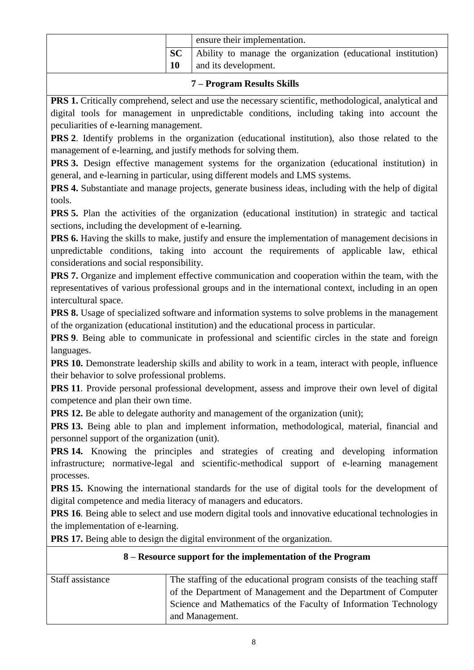|    | ensure their implementation. |                                                              |  |
|----|------------------------------|--------------------------------------------------------------|--|
| SC |                              | Ability to manage the organization (educational institution) |  |
|    |                              | and its development.                                         |  |

#### **7 – Program Results Skills**

**PRS 1.** Critically comprehend, select and use the necessary scientific, methodological, analytical and digital tools for management in unpredictable conditions, including taking into account the peculiarities of e-learning management.

**PRS 2**. Identify problems in the organization (educational institution), also those related to the management of e-learning, and justify methods for solving them.

**PRS 3.** Design effective management systems for the organization (educational institution) in general, and e-learning in particular, using different models and LMS systems.

**PRS 4.** Substantiate and manage projects, generate business ideas, including with the help of digital tools.

**PRS 5.** Plan the activities of the organization (educational institution) in strategic and tactical sections, including the development of e-learning.

**PRS** 6. Having the skills to make, justify and ensure the implementation of management decisions in unpredictable conditions, taking into account the requirements of applicable law, ethical considerations and social responsibility.

**PRS 7.** Organize and implement effective communication and cooperation within the team, with the representatives of various professional groups and in the international context, including in an open intercultural space.

**PRS 8.** Usage of specialized software and information systems to solve problems in the management of the organization (educational institution) and the educational process in particular.

**PRS 9**. Being able to communicate in professional and scientific circles in the state and foreign languages.

**PRS** 10. Demonstrate leadership skills and ability to work in a team, interact with people, influence their behavior to solve professional problems.

**PRS 11**. Provide personal professional development, assess and improve their own level of digital competence and plan their own time.

**PRS 12.** Be able to delegate authority and management of the organization (unit);

**PRS 13.** Being able to plan and implement information, methodological, material, financial and personnel support of the organization (unit).

**PRS 14.** Knowing the principles and strategies of creating and developing information infrastructure; normative-legal and scientific-methodical support of e-learning management processes.

**PRS 15.** Knowing the international standards for the use of digital tools for the development of digital competence and media literacy of managers and educators.

**PRS** 16. Being able to select and use modern digital tools and innovative educational technologies in the implementation of e-learning.

**PRS 17.** Being able to design the digital environment of the organization.

#### **8 – Resource support for the implementation of the Program**

| Staff assistance | The staffing of the educational program consists of the teaching staff |
|------------------|------------------------------------------------------------------------|
|                  | of the Department of Management and the Department of Computer         |
|                  |                                                                        |
|                  | Science and Mathematics of the Faculty of Information Technology       |
|                  | and Management.                                                        |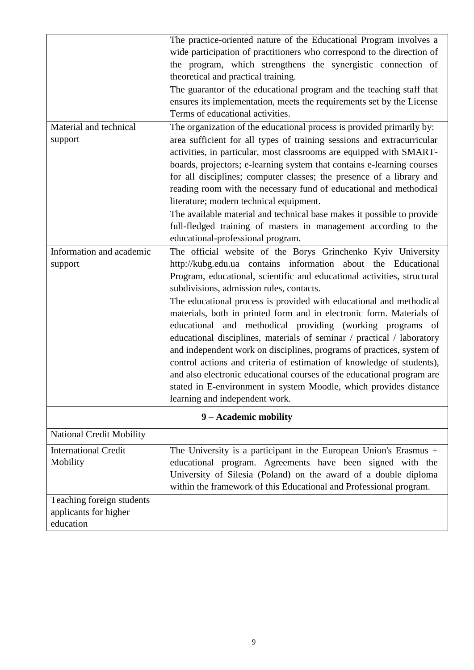|                                 | The practice-oriented nature of the Educational Program involves a      |
|---------------------------------|-------------------------------------------------------------------------|
|                                 | wide participation of practitioners who correspond to the direction of  |
|                                 | the program, which strengthens the synergistic connection of            |
|                                 | theoretical and practical training.                                     |
|                                 | The guarantor of the educational program and the teaching staff that    |
|                                 | ensures its implementation, meets the requirements set by the License   |
|                                 | Terms of educational activities.                                        |
| Material and technical          | The organization of the educational process is provided primarily by:   |
| support                         | area sufficient for all types of training sessions and extracurricular  |
|                                 | activities, in particular, most classrooms are equipped with SMART-     |
|                                 | boards, projectors; e-learning system that contains e-learning courses  |
|                                 | for all disciplines; computer classes; the presence of a library and    |
|                                 | reading room with the necessary fund of educational and methodical      |
|                                 | literature; modern technical equipment.                                 |
|                                 | The available material and technical base makes it possible to provide  |
|                                 | full-fledged training of masters in management according to the         |
|                                 | educational-professional program.                                       |
| Information and academic        | The official website of the Borys Grinchenko Kyiv University            |
| support                         | http://kubg.edu.ua contains information about the Educational           |
|                                 | Program, educational, scientific and educational activities, structural |
|                                 | subdivisions, admission rules, contacts.                                |
|                                 | The educational process is provided with educational and methodical     |
|                                 | materials, both in printed form and in electronic form. Materials of    |
|                                 | educational and methodical providing (working programs of               |
|                                 | educational disciplines, materials of seminar / practical / laboratory  |
|                                 | and independent work on disciplines, programs of practices, system of   |
|                                 | control actions and criteria of estimation of knowledge of students),   |
|                                 | and also electronic educational courses of the educational program are  |
|                                 | stated in E-environment in system Moodle, which provides distance       |
|                                 | learning and independent work.                                          |
|                                 | 9 - Academic mobility                                                   |
| <b>National Credit Mobility</b> |                                                                         |
| <b>International Credit</b>     | The University is a participant in the European Union's Erasmus $+$     |
| Mobility                        | educational program. Agreements have been signed with the               |
|                                 | University of Silesia (Poland) on the award of a double diploma         |
|                                 | within the framework of this Educational and Professional program.      |
| Teaching foreign students       |                                                                         |
| applicants for higher           |                                                                         |
| education                       |                                                                         |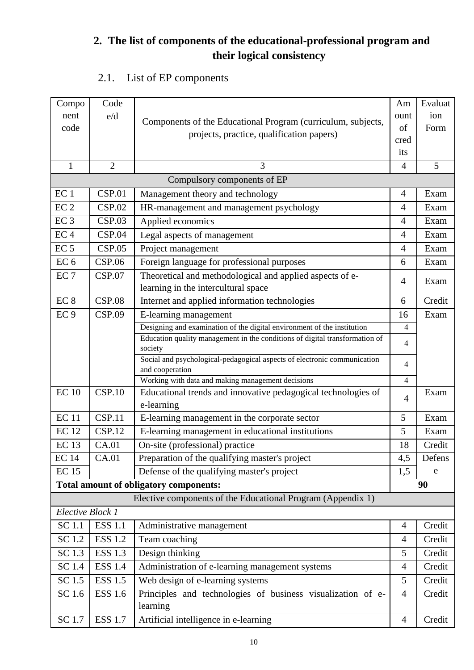# **2. The list of components of the educational-professional program and their logical consistency**

# 2.1. List of EP components

| Compo            | Code           |                                                                                             | Am             | Evaluat |
|------------------|----------------|---------------------------------------------------------------------------------------------|----------------|---------|
| nent             | e/d            | Components of the Educational Program (curriculum, subjects,                                | ount           | ion     |
| code             |                | projects, practice, qualification papers)                                                   | of             | Form    |
|                  |                |                                                                                             | cred           |         |
|                  |                |                                                                                             | its            |         |
| $\mathbf{1}$     | $\overline{2}$ | 3                                                                                           | $\overline{4}$ | 5       |
|                  |                | Compulsory components of EP                                                                 |                |         |
| EC <sub>1</sub>  | <b>CSP.01</b>  | Management theory and technology                                                            | $\overline{4}$ | Exam    |
| EC <sub>2</sub>  | CSP.02         | HR-management and management psychology                                                     | $\overline{4}$ | Exam    |
| EC <sub>3</sub>  | CSP.03         | Applied economics                                                                           | 4              | Exam    |
| EC <sub>4</sub>  | CSP.04         | Legal aspects of management                                                                 | $\overline{4}$ | Exam    |
| EC <sub>5</sub>  | CSP.05         | Project management                                                                          | $\overline{4}$ | Exam    |
| EC <sub>6</sub>  | <b>CSP.06</b>  | Foreign language for professional purposes                                                  | 6              | Exam    |
| EC <sub>7</sub>  | CSP.07         | Theoretical and methodological and applied aspects of e-                                    | $\overline{4}$ | Exam    |
|                  |                | learning in the intercultural space                                                         |                |         |
| EC <sub>8</sub>  | <b>CSP.08</b>  | Internet and applied information technologies                                               | 6              | Credit  |
| EC <sub>9</sub>  | <b>CSP.09</b>  | E-learning management                                                                       | 16             | Exam    |
|                  |                | Designing and examination of the digital environment of the institution                     | 4              |         |
|                  |                | Education quality management in the conditions of digital transformation of<br>society      | 4              |         |
|                  |                | Social and psychological-pedagogical aspects of electronic communication<br>and cooperation | 4              |         |
|                  |                | Working with data and making management decisions                                           | $\overline{4}$ |         |
| <b>EC10</b>      | CSP.10         | Educational trends and innovative pedagogical technologies of                               | $\overline{4}$ | Exam    |
|                  |                | e-learning                                                                                  |                |         |
| <b>EC11</b>      | CSP.11         | E-learning management in the corporate sector                                               | 5              | Exam    |
| <b>EC12</b>      | CSP.12         | E-learning management in educational institutions                                           | 5              | Exam    |
| <b>EC13</b>      | CA.01          | On-site (professional) practice                                                             | 18             | Credit  |
| <b>EC</b> 14     | CA.01          | Preparation of the qualifying master's project                                              | 4,5            | Defens  |
| <b>EC15</b>      |                | Defense of the qualifying master's project                                                  | 1,5            | e       |
|                  |                | <b>Total amount of obligatory components:</b>                                               |                | 90      |
|                  |                | Elective components of the Educational Program (Appendix 1)                                 |                |         |
| Elective Block 1 |                |                                                                                             |                |         |
| SC 1.1           | <b>ESS 1.1</b> | Administrative management                                                                   | $\overline{4}$ | Credit  |
| SC 1.2           | <b>ESS 1.2</b> | Team coaching                                                                               | 4              | Credit  |
| SC 1.3           | <b>ESS 1.3</b> | Design thinking                                                                             | 5              | Credit  |
| SC 1.4           | <b>ESS 1.4</b> | Administration of e-learning management systems                                             | $\overline{4}$ | Credit  |
| SC 1.5           | <b>ESS 1.5</b> | Web design of e-learning systems                                                            | 5              | Credit  |
| SC 1.6           | <b>ESS 1.6</b> | Principles and technologies of business visualization of e-                                 | $\overline{4}$ | Credit  |
|                  |                | learning                                                                                    |                |         |
| SC 1.7           | <b>ESS 1.7</b> | Artificial intelligence in e-learning                                                       | $\overline{4}$ | Credit  |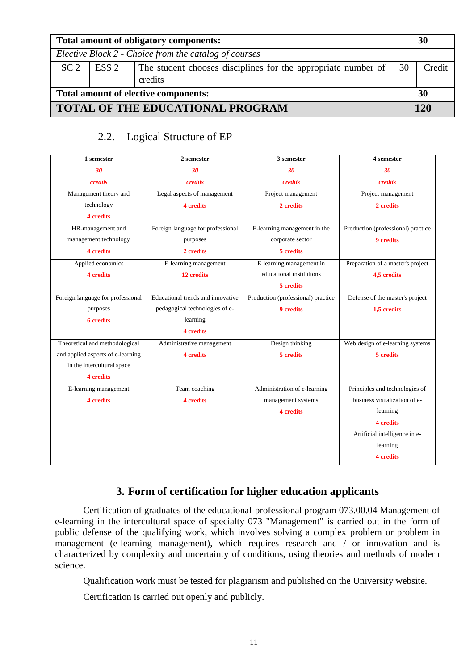| Total amount of obligatory components:  |                                                       |                                                                                |    |        |
|-----------------------------------------|-------------------------------------------------------|--------------------------------------------------------------------------------|----|--------|
|                                         | Elective Block 2 - Choice from the catalog of courses |                                                                                |    |        |
| SC <sub>2</sub>                         | ESS <sub>2</sub>                                      | The student chooses disciplines for the appropriate number of<br>30<br>credits |    | Credit |
| Total amount of elective components:    |                                                       |                                                                                | 30 |        |
| <b>TOTAL OF THE EDUCATIONAL PROGRAM</b> |                                                       |                                                                                |    | 120    |

### 2.2. Logical Structure of EP

| 1 semester                        | 2 semester                        | 3 semester                         | 4 semester                         |
|-----------------------------------|-----------------------------------|------------------------------------|------------------------------------|
| 30                                | 30                                | 30                                 | 30                                 |
| credits                           | <i>credits</i>                    | credits                            | credits                            |
| Management theory and             | Legal aspects of management       | Project management                 | Project management                 |
| technology                        | <b>4</b> credits                  | 2 credits                          | 2 credits                          |
| <b>4</b> credits                  |                                   |                                    |                                    |
| HR-management and                 | Foreign language for professional | E-learning management in the       | Production (professional) practice |
| management technology             | purposes                          | corporate sector                   | 9 credits                          |
| <b>4</b> credits                  | 2 credits                         | 5 credits                          |                                    |
| Applied economics                 | E-learning management             | E-learning management in           | Preparation of a master's project  |
| <b>4</b> credits                  | 12 credits                        | educational institutions           | 4,5 credits                        |
|                                   |                                   | 5 credits                          |                                    |
| Foreign language for professional | Educational trends and innovative | Production (professional) practice | Defense of the master's project    |
| purposes                          | pedagogical technologies of e-    | 9 credits                          | 1.5 credits                        |
| <b>6</b> credits                  | learning                          |                                    |                                    |
|                                   | <b>4</b> credits                  |                                    |                                    |
| Theoretical and methodological    | Administrative management         | Design thinking                    | Web design of e-learning systems   |
| and applied aspects of e-learning | <b>4</b> credits                  | 5 credits                          | 5 credits                          |
| in the intercultural space        |                                   |                                    |                                    |
| 4 credits                         |                                   |                                    |                                    |
| E-learning management             | Team coaching                     | Administration of e-learning       | Principles and technologies of     |
| <b>4</b> credits                  | <b>4</b> credits                  | management systems                 | business visualization of e-       |
|                                   |                                   | <b>4</b> credits                   | learning                           |
|                                   |                                   |                                    | <b>4</b> credits                   |
|                                   |                                   |                                    | Artificial intelligence in e-      |
|                                   |                                   |                                    | learning                           |
|                                   |                                   |                                    | <b>4</b> credits                   |

## **3. Form of certification for higher education applicants**

Certification of graduates of the educational-professional program 073.00.04 Management of e-learning in the intercultural space of specialty 073 "Management" is carried out in the form of public defense of the qualifying work, which involves solving a complex problem or problem in management (e-learning management), which requires research and / or innovation and is characterized by complexity and uncertainty of conditions, using theories and methods of modern science.

Qualification work must be tested for plagiarism and published on the University website.

Certification is carried out openly and publicly.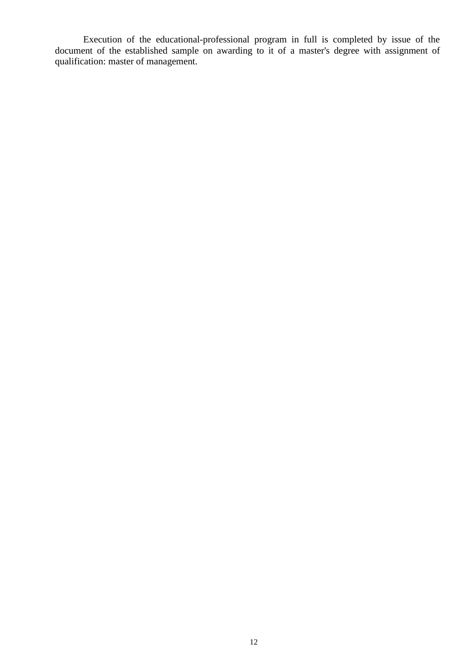Execution of the educational-professional program in full is completed by issue of the document of the established sample on awarding to it of a master's degree with assignment of qualification: master of management.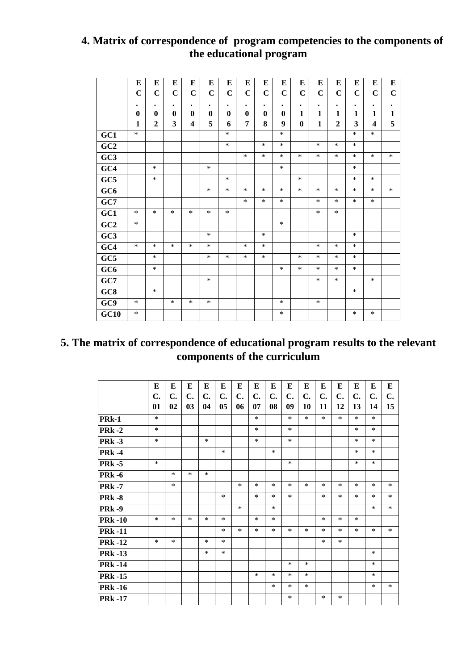## **4. Matrix of correspondence of program competencies to the components of the educational program**

|                 | E           | E              | ${\bf E}$    | ${\bf E}$               | E           | E           | Е            | E            | ${\bf E}$   | E            | E           | ${\bf E}$      | E           | E           | ${\bf E}$   |
|-----------------|-------------|----------------|--------------|-------------------------|-------------|-------------|--------------|--------------|-------------|--------------|-------------|----------------|-------------|-------------|-------------|
|                 | $\mathbf C$ | $\overline{C}$ | $\mathbf C$  | $\mathbf C$             | $\mathbf C$ | $\mathbf C$ | $\mathbf C$  | $\mathbf C$  | $\mathbf C$ | $\mathbf C$  | $\mathbf C$ | $\mathbf C$    | $\mathbf C$ | $\mathbf C$ | $\mathbf C$ |
|                 | $\bullet$   | $\bullet$      | $\bullet$    | $\bullet$               | $\bullet$   | $\bullet$   | $\bullet$    | $\bullet$    | $\bullet$   | $\bullet$    | $\bullet$   | $\bullet$      | ٠           | $\bullet$   | $\bullet$   |
|                 | $\bf{0}$    | $\mathbf 0$    | $\mathbf{0}$ | $\bf{0}$                | $\bf{0}$    | $\bf{0}$    | $\mathbf{0}$ | $\mathbf{0}$ | $\bf{0}$    | 1            | 1           | 1              | 1           | 1           | 1           |
|                 | 1           | $\overline{2}$ | 3            | $\overline{\mathbf{4}}$ | 5           | 6           | 7            | 8            | 9           | $\mathbf{0}$ | 1           | $\overline{2}$ | 3           | 4           | 5           |
| GC1             | $\ast$      |                |              |                         |             | $\ast$      |              |              | *           |              |             |                | $\ast$      | $\ast$      |             |
| GC2             |             |                |              |                         |             | $\ast$      |              | $\ast$       | $\ast$      |              | *           | $\ast$         | $\ast$      |             |             |
| GC <sub>3</sub> |             |                |              |                         |             |             | *            | *            | *           | $\ast$       | *           | *              | *           | $\ast$      | $\ast$      |
| GC4             |             | *              |              |                         | $\ast$      |             |              |              | $\ast$      |              |             |                | *           |             |             |
| GC5             |             | $\ast$         |              |                         |             | $\ast$      |              |              |             | $\ast$       |             |                | $\ast$      | $\ast$      |             |
| GC <sub>6</sub> |             |                |              |                         | $\ast$      | $\ast$      | $\ast$       | $\ast$       | $\ast$      | $\ast$       | $\ast$      | $\ast$         | $\ast$      | $\ast$      | $\ast$      |
| GC7             |             |                |              |                         |             |             | $\ast$       | *            | $\ast$      |              | *           | *              | $\ast$      | $\ast$      |             |
| GC1             | $\ast$      | $\ast$         | $\ast$       | $\ast$                  | $\ast$      | $\ast$      |              |              |             |              | $\ast$      | $\ast$         |             |             |             |
| GC2             | $\ast$      |                |              |                         |             |             |              |              | *           |              |             |                |             |             |             |
| GC <sub>3</sub> |             |                |              |                         | $\ast$      |             |              | $\ast$       |             |              |             |                | $\ast$      |             |             |
| GC4             | $\ast$      | $\ast$         | $\ast$       | *                       | $\ast$      |             | $\ast$       | $\ast$       |             |              | $\ast$      | $\ast$         | $\ast$      |             |             |
| GC5             |             | $\ast$         |              |                         | $\ast$      | $\ast$      | $\ast$       | $\ast$       |             | $\ast$       | $\ast$      | $\ast$         | $\ast$      |             |             |
| GC <sub>6</sub> |             | $\ast$         |              |                         |             |             |              |              | $\ast$      | $\ast$       | $\ast$      | $\ast$         | $\ast$      |             |             |
| GC7             |             |                |              |                         | $\ast$      |             |              |              |             |              | *           | *              |             | $\ast$      |             |
| GC8             |             | $\ast$         |              |                         |             |             |              |              |             |              |             |                | *           |             |             |
| GC9             | $\ast$      |                | $\ast$       | *                       | *           |             |              |              | *           |              | ∗           |                |             |             |             |
| GC10            | $\ast$      |                |              |                         |             |             |              |              | $\ast$      |              |             |                | *           | $\ast$      |             |

# **5. The matrix of correspondence of educational program results to the relevant components of the curriculum**

|                    | E      | E              | Е              | E      | Е      | Е      | Е      | Е      | E      | Е      | E      | E      | E      | E      | E              |
|--------------------|--------|----------------|----------------|--------|--------|--------|--------|--------|--------|--------|--------|--------|--------|--------|----------------|
|                    | C.     | $\mathbf{C}$ . | $\mathbf{C}$ . | C.     | C.     | C.     | C.     | C.     | C.     | C.     | C.     | C.     | C.     | C.     | $\mathbf{C}$ . |
|                    | 01     | 02             | 0 <sub>3</sub> | 04     | 05     | 06     | 07     | 08     | 09     | 10     | 11     | 12     | 13     | 14     | 15             |
| PR <sub>k</sub> -1 | $\ast$ |                |                |        |        |        | $\ast$ |        | $\ast$ | $\ast$ | $\ast$ | $\ast$ | $\ast$ | $\ast$ |                |
| <b>PRk-2</b>       | $\ast$ |                |                |        |        |        | $\ast$ |        | $\ast$ |        |        |        | $\ast$ | $\ast$ |                |
| <b>PRk -3</b>      | $\ast$ |                |                | $\ast$ |        |        | $\ast$ |        | $\ast$ |        |        |        | $\ast$ | $\ast$ |                |
| <b>PRk -4</b>      |        |                |                |        | $\ast$ |        |        | $\ast$ |        |        |        |        | $\ast$ | $\ast$ |                |
| <b>PRk -5</b>      | $\ast$ |                |                |        |        |        |        |        | $\ast$ |        |        |        | $\ast$ | $\ast$ |                |
| <b>PRk -6</b>      |        | $\ast$         | $\ast$         | $\ast$ |        |        |        |        |        |        |        |        |        |        |                |
| <b>PRk-7</b>       |        | $\ast$         |                |        |        | $\ast$ | $\ast$ | $\ast$ | $\ast$ | $\ast$ | $\ast$ | $\ast$ | $\ast$ | $\ast$ | $\ast$         |
| <b>PRk -8</b>      |        |                |                |        | $\ast$ |        | $\ast$ | $\ast$ | $\ast$ |        | $\ast$ | $\ast$ | $\ast$ | $\ast$ | $\ast$         |
| <b>PRk -9</b>      |        |                |                |        |        | $\ast$ |        | $\ast$ |        |        |        |        |        | $\ast$ | $\ast$         |
| <b>PRk-10</b>      | $\ast$ | $\ast$         | $\ast$         | $\ast$ | $\ast$ |        | $\ast$ | $\ast$ |        |        | $\ast$ | $\ast$ | $\ast$ |        |                |
| <b>PRk-11</b>      |        |                |                |        | $\ast$ | $\ast$ | $\ast$ | $\ast$ | $\ast$ | $\ast$ | $\ast$ | $\ast$ | $\ast$ | $\ast$ | $\ast$         |
| <b>PRk-12</b>      | $\ast$ | $\ast$         |                | $\ast$ | $\ast$ |        |        |        |        |        | $\ast$ | $\ast$ |        |        |                |
| <b>PRk-13</b>      |        |                |                | $\ast$ | $\ast$ |        |        |        |        |        |        |        |        | $\ast$ |                |
| <b>PRk-14</b>      |        |                |                |        |        |        |        |        | $\ast$ | $\ast$ |        |        |        | $\ast$ |                |
| <b>PRk -15</b>     |        |                |                |        |        |        | $\ast$ | $\ast$ | $\ast$ | $\ast$ |        |        |        | $\ast$ |                |
| <b>PRk</b> -16     |        |                |                |        |        |        |        | $\ast$ | $\ast$ | $\ast$ |        |        |        | $\ast$ | $\ast$         |
| <b>PRk-17</b>      |        |                |                |        |        |        |        |        | $\ast$ |        | ∗      | $\ast$ |        |        |                |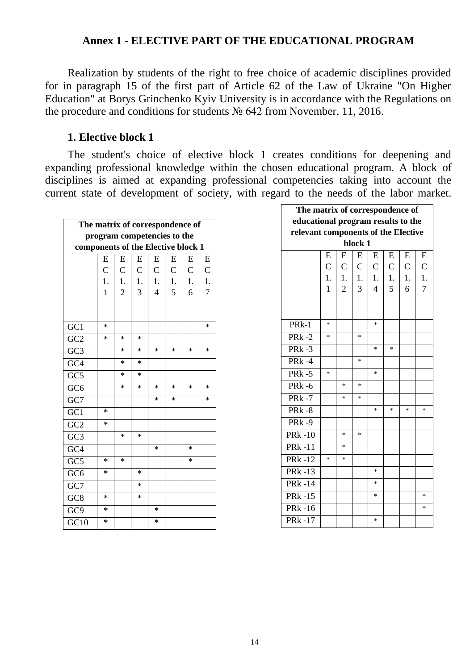### **Annex 1 - ELECTIVE PART OF THE EDUCATIONAL PROGRAM**

Realization by students of the right to free choice of academic disciplines provided for in paragraph 15 of the first part of Article 62 of the Law of Ukraine "On Higher Education" at Borys Grinchenko Kyiv University is in accordance with the Regulations on the procedure and conditions for students № 642 from November, 11, 2016.

#### **1. Elective block 1**

The student's choice of elective block 1 creates conditions for deepening and expanding professional knowledge within the chosen educational program. A block of disciplines is aimed at expanding professional competencies taking into account the current state of development of society, with regard to the needs of the labor market.

| The matrix of correspondence of<br>program competencies to the |              |                |              |              |              |              |              |  |  |  |  |
|----------------------------------------------------------------|--------------|----------------|--------------|--------------|--------------|--------------|--------------|--|--|--|--|
|                                                                |              |                |              |              |              |              |              |  |  |  |  |
| components of the Elective block 1                             |              |                |              |              |              |              |              |  |  |  |  |
|                                                                | E            | E              | E            | E            | E            | E            | E            |  |  |  |  |
|                                                                | $\mathsf{C}$ | $\mathsf{C}$   | $\mathsf{C}$ | $\mathsf{C}$ | $\mathsf{C}$ | $\mathsf{C}$ | $\mathsf{C}$ |  |  |  |  |
|                                                                | 1.           | 1.             | 1.           | 1.           | 1.           | 1.           | 1.           |  |  |  |  |
|                                                                | $\mathbf{1}$ | $\overline{c}$ | 3            | 4            | 5            | 6            | 7            |  |  |  |  |
|                                                                |              |                |              |              |              |              |              |  |  |  |  |
|                                                                |              |                |              |              |              |              |              |  |  |  |  |
| GC1                                                            | *            |                |              |              |              |              | $\ast$       |  |  |  |  |
| GC <sub>2</sub>                                                | *            | $\ast$         | $\ast$       |              |              |              |              |  |  |  |  |
| GC <sub>3</sub>                                                |              | $\ast$         | $\ast$       | $\ast$       | $\ast$       | $\ast$       | $\ast$       |  |  |  |  |
| GC4                                                            |              | *              | $\ast$       |              |              |              |              |  |  |  |  |
| GC <sub>5</sub>                                                |              | $\ast$         | $\ast$       |              |              |              |              |  |  |  |  |
| GC <sub>6</sub>                                                |              | *              | $\ast$       | ∗            | ∗            | ∗            | ∗            |  |  |  |  |
| $\overline{GC7}$                                               |              |                |              | $\ast$       | $\ast$       |              | $\ast$       |  |  |  |  |
| $\overline{GC1}$                                               | *            |                |              |              |              |              |              |  |  |  |  |
| GC <sub>2</sub>                                                | *            |                |              |              |              |              |              |  |  |  |  |
| GC <sub>3</sub>                                                |              | *              | *            |              |              |              |              |  |  |  |  |
| GC4                                                            |              |                |              | $\ast$       |              | *            |              |  |  |  |  |
| GC <sub>5</sub>                                                | $\ast$       | $\ast$         |              |              |              | $\ast$       |              |  |  |  |  |
| GC <sub>6</sub>                                                | ∗            |                | *            |              |              |              |              |  |  |  |  |
| GC7                                                            |              |                | $\ast$       |              |              |              |              |  |  |  |  |
| GC <sub>8</sub>                                                | ∗            |                | *            |              |              |              |              |  |  |  |  |
| GC <sub>9</sub>                                                | *            |                |              | $\ast$       |              |              |              |  |  |  |  |
| $\overline{GC10}$                                              | *            |                |              | $\ast$       |              |              |              |  |  |  |  |

| The matrix of correspondence of    |                                                |                |                |                |             |              |                  |  |  |  |  |  |  |
|------------------------------------|------------------------------------------------|----------------|----------------|----------------|-------------|--------------|------------------|--|--|--|--|--|--|
| educational program results to the |                                                |                |                |                |             |              |                  |  |  |  |  |  |  |
|                                    | relevant components of the Elective<br>block 1 |                |                |                |             |              |                  |  |  |  |  |  |  |
|                                    |                                                |                |                |                |             |              |                  |  |  |  |  |  |  |
|                                    | E                                              | E              | E              | E              | E           | E            | E                |  |  |  |  |  |  |
|                                    | $\overline{C}$                                 | $\mathbf C$    | $\overline{C}$ | $\mathsf{C}$   | $\mathbf C$ | $\mathsf{C}$ | $\mathsf{C}$     |  |  |  |  |  |  |
|                                    | 1.                                             | 1.             | 1.             | 1.             | 1.          | 1.           | $\overline{1}$ . |  |  |  |  |  |  |
|                                    | $\mathbf{1}$                                   | $\overline{2}$ | $\overline{3}$ | $\overline{4}$ | 5           | 6            | $\overline{7}$   |  |  |  |  |  |  |
|                                    |                                                |                |                |                |             |              |                  |  |  |  |  |  |  |
|                                    |                                                |                |                |                |             |              |                  |  |  |  |  |  |  |
| $PRK-1$                            | $\ast$                                         |                |                | ∗              |             |              |                  |  |  |  |  |  |  |
| <b>PRk-2</b>                       | $\ast$                                         |                | $\ast$         |                |             |              |                  |  |  |  |  |  |  |
| PR $k - 3$                         |                                                |                |                | *              | *           |              |                  |  |  |  |  |  |  |
| $PRk -4$                           |                                                |                | *              |                |             |              |                  |  |  |  |  |  |  |
| <b>PRk -5</b>                      | $\ast$                                         |                |                | $\ast$         |             |              |                  |  |  |  |  |  |  |
| <b>PRk -6</b>                      |                                                | $\ast$         | $\ast$         |                |             |              |                  |  |  |  |  |  |  |
| <b>PRk-7</b>                       |                                                | $\ast$         | $\ast$         |                |             |              |                  |  |  |  |  |  |  |
| <b>PRk-8</b>                       |                                                |                |                | *              | *           | ∗            | *                |  |  |  |  |  |  |
| <b>PRk-9</b>                       |                                                |                |                |                |             |              |                  |  |  |  |  |  |  |
| <b>PRk-10</b>                      |                                                | *              | *              |                |             |              |                  |  |  |  |  |  |  |
| <b>PRk-11</b>                      |                                                | *              |                |                |             |              |                  |  |  |  |  |  |  |
| <b>PRk-12</b>                      | $\ast$                                         | $\ast$         |                |                |             |              |                  |  |  |  |  |  |  |
| <b>PRk-13</b>                      |                                                |                |                | $\ast$         |             |              |                  |  |  |  |  |  |  |
| <b>PRk-14</b>                      |                                                |                |                | $\ast$         |             |              |                  |  |  |  |  |  |  |
| PRk $-1\overline{5}$               |                                                |                |                | $\ast$         |             |              | $\ast$           |  |  |  |  |  |  |
| <b>PRk-16</b>                      |                                                |                |                |                |             |              | $\ast$           |  |  |  |  |  |  |
| PR $k - 17$                        |                                                |                |                | *              |             |              |                  |  |  |  |  |  |  |